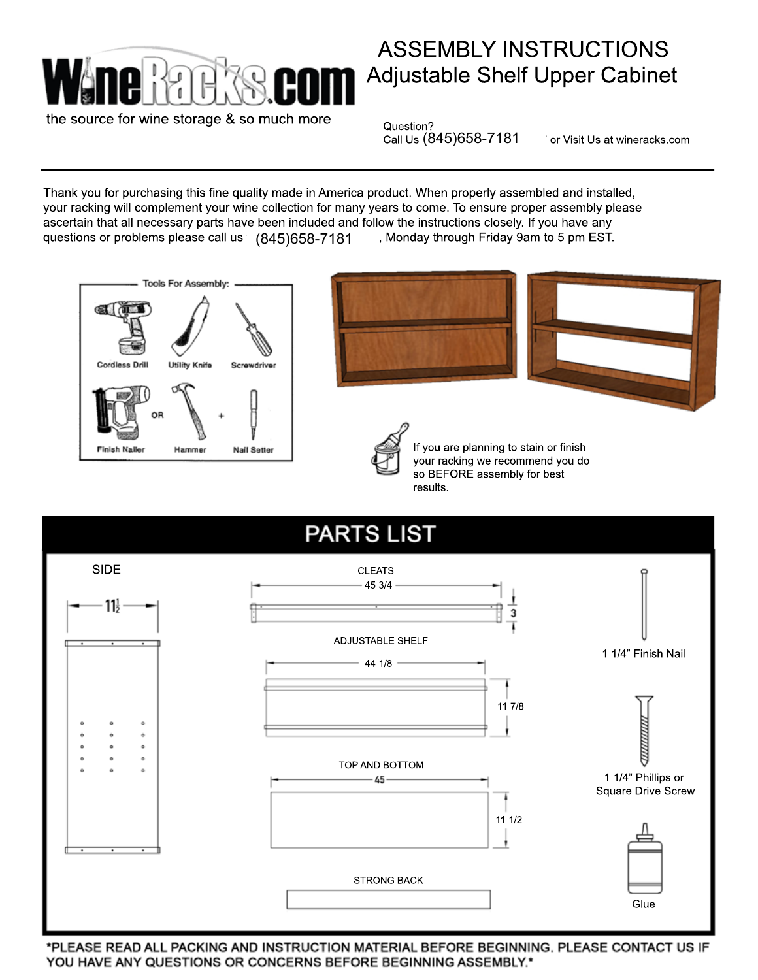

## Adjustable Shelf Upper Cabinet ASSEMBLY INSTRUCTIONS

the source for wine storage & so much more

Question?

Call Us  $(845)$ 658-7181 or Visit Us at wineracks.com

Thank you for purchasing this fine quality made in America product. When properly assembled and installed, your racking will complement your wine collection for many years to come. To ensure proper assembly please ascertain that all necessary parts have been included and follow the instructions closely. If you have any questions or problems please call us  $\mid$  (845)658-7181  $\mid$  , Monday through Friday 9am to 5 pm EST.







If you are planning to stain or finish your racking we recommend you do so BEFORE assembly for best results.



\*PLEASE READ ALL PACKING AND INSTRUCTION MATERIAL BEFORE BEGINNING. PLEASE CONTACT US IF YOU HAVE ANY QUESTIONS OR CONCERNS BEFORE BEGINNING ASSEMBLY.\*